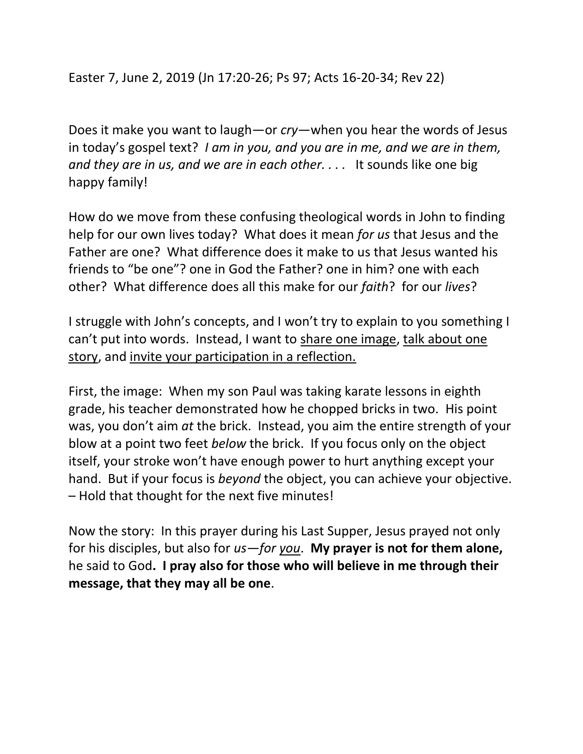Easter 7, June 2, 2019 (Jn 17:20-26; Ps 97; Acts 16-20-34; Rev 22)

Does it make you want to laugh—or *cry*—when you hear the words of Jesus in today's gospel text? *I am in you, and you are in me, and we are in them, and they are in us, and we are in each other. . . .* It sounds like one big happy family!

How do we move from these confusing theological words in John to finding help for our own lives today? What does it mean *for us* that Jesus and the Father are one? What difference does it make to us that Jesus wanted his friends to "be one"? one in God the Father? one in him? one with each other? What difference does all this make for our *faith*? for our *lives*?

I struggle with John's concepts, and I won't try to explain to you something I can't put into words. Instead, I want to share one image, talk about one story, and invite your participation in a reflection.

First, the image: When my son Paul was taking karate lessons in eighth grade, his teacher demonstrated how he chopped bricks in two. His point was, you don't aim *at* the brick. Instead, you aim the entire strength of your blow at a point two feet *below* the brick. If you focus only on the object itself, your stroke won't have enough power to hurt anything except your hand. But if your focus is *beyond* the object, you can achieve your objective. – Hold that thought for the next five minutes!

Now the story: In this prayer during his Last Supper, Jesus prayed not only for his disciples, but also for *us—for you*. **My prayer is not for them alone,**  he said to God**. I pray also for those who will believe in me through their message, that they may all be one**.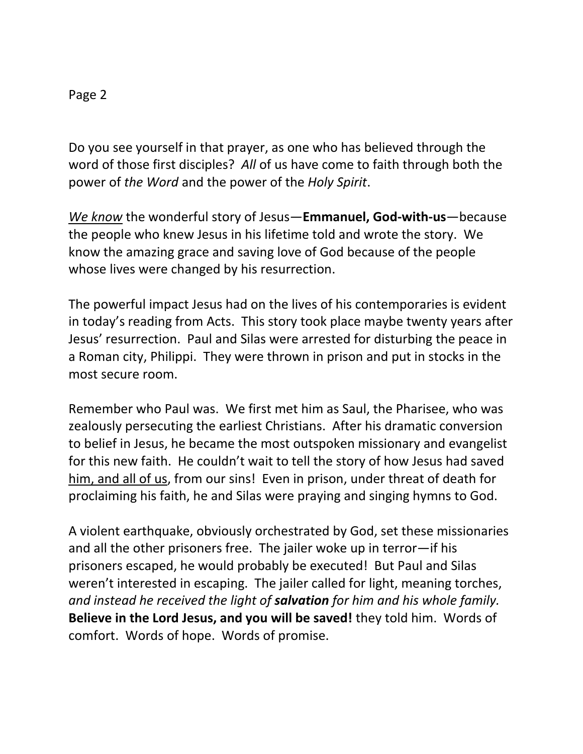## Page 2

Do you see yourself in that prayer, as one who has believed through the word of those first disciples? *All* of us have come to faith through both the power of *the Word* and the power of the *Holy Spirit*.

*We know* the wonderful story of Jesus—**Emmanuel, God-with-us**—because the people who knew Jesus in his lifetime told and wrote the story. We know the amazing grace and saving love of God because of the people whose lives were changed by his resurrection.

The powerful impact Jesus had on the lives of his contemporaries is evident in today's reading from Acts. This story took place maybe twenty years after Jesus' resurrection. Paul and Silas were arrested for disturbing the peace in a Roman city, Philippi. They were thrown in prison and put in stocks in the most secure room.

Remember who Paul was. We first met him as Saul, the Pharisee, who was zealously persecuting the earliest Christians. After his dramatic conversion to belief in Jesus, he became the most outspoken missionary and evangelist for this new faith. He couldn't wait to tell the story of how Jesus had saved him, and all of us, from our sins! Even in prison, under threat of death for proclaiming his faith, he and Silas were praying and singing hymns to God.

A violent earthquake, obviously orchestrated by God, set these missionaries and all the other prisoners free. The jailer woke up in terror—if his prisoners escaped, he would probably be executed! But Paul and Silas weren't interested in escaping. The jailer called for light, meaning torches, *and instead he received the light of salvation for him and his whole family.*  **Believe in the Lord Jesus, and you will be saved!** they told him. Words of comfort. Words of hope. Words of promise.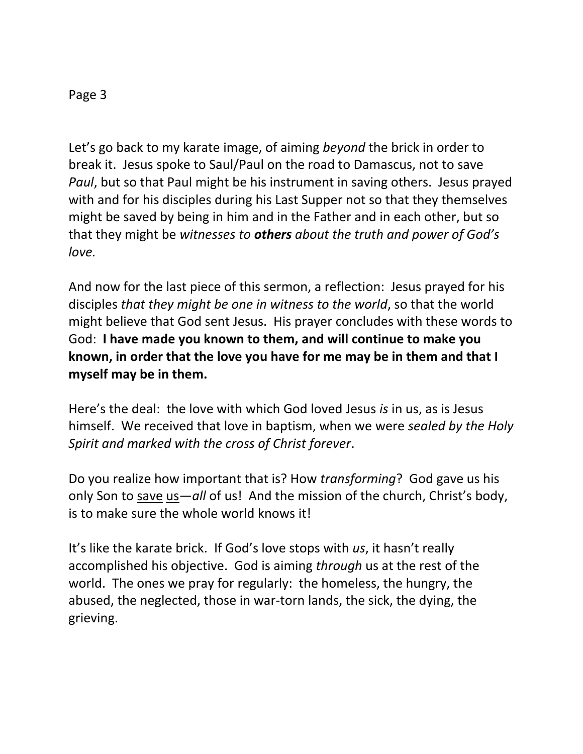## Page 3

Let's go back to my karate image, of aiming *beyond* the brick in order to break it. Jesus spoke to Saul/Paul on the road to Damascus, not to save *Paul*, but so that Paul might be his instrument in saving others. Jesus prayed with and for his disciples during his Last Supper not so that they themselves might be saved by being in him and in the Father and in each other, but so that they might be *witnesses to others about the truth and power of God's love.*

And now for the last piece of this sermon, a reflection: Jesus prayed for his disciples *that they might be one in witness to the world*, so that the world might believe that God sent Jesus. His prayer concludes with these words to God: **I have made you known to them, and will continue to make you known, in order that the love you have for me may be in them and that I myself may be in them.**

Here's the deal: the love with which God loved Jesus *is* in us, as is Jesus himself. We received that love in baptism, when we were *sealed by the Holy Spirit and marked with the cross of Christ forever*.

Do you realize how important that is? How *transforming*? God gave us his only Son to save us—*all* of us! And the mission of the church, Christ's body, is to make sure the whole world knows it!

It's like the karate brick. If God's love stops with *us*, it hasn't really accomplished his objective. God is aiming *through* us at the rest of the world. The ones we pray for regularly: the homeless, the hungry, the abused, the neglected, those in war-torn lands, the sick, the dying, the grieving.